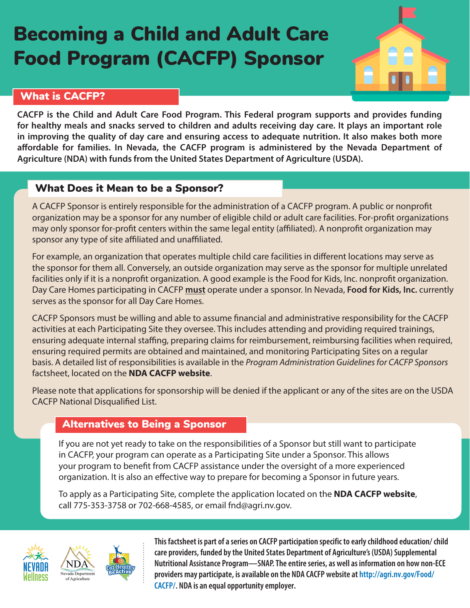# Becoming a Child and Adult Care Food Program (CACFP) Sponsor



# What is CACFP?

**CACFP is the Child and Adult Care Food Program. This Federal program supports and provides funding for healthy meals and snacks served to children and adults receiving day care. It plays an important role in improving the quality of day care and ensuring access to adequate nutrition. It also makes both more affordable for families. In Nevada, the CACFP program is administered by the Nevada Department of Agriculture (NDA) with funds from the United States Department of Agriculture (USDA).**

# What Does it Mean to be a Sponsor?

A CACFP Sponsor is entirely responsible for the administration of a CACFP program. A public or nonprofit organization may be a sponsor for any number of eligible child or adult care facilities. For-profit organizations may only sponsor for-profit centers within the same legal entity (affiliated). A nonprofit organization may sponsor any type of site affiliated and unaffiliated.

For example, an organization that operates multiple child care facilities in different locations may serve as the sponsor for them all. Conversely, an outside organization may serve as the sponsor for multiple unrelated facilities only if it is a nonprofit organization. A good example is the Food for Kids, Inc. nonprofit organization. Day Care Homes participating in CACFP **must** operate under a sponsor. In Nevada, **[Food for Kids, Inc.](https://foodforkidsnevada.org/)** currently serves as the sponsor for all Day Care Homes.

CACFP Sponsors must be willing and able to assume financial and administrative responsibility for the CACFP activities at each Participating Site they oversee. This includes attending and providing required trainings, ensuring adequate internal staffing, preparing claims for reimbursement, reimbursing facilities when required, ensuring required permits are obtained and maintained, and monitoring Participating Sites on a regular basis. A detailed list of responsibilities is available in the *Program Administration Guidelines for CACFP Sponsors* factsheet, located on the **[NDA CACFP website](http://agri.nv.gov/Food/CACFP/)**.

Please note that applications for sponsorship will be denied if the applicant or any of the sites are on the USDA CACFP National Disqualified List.

## Alternatives to Being a Sponsor

If you are not yet ready to take on the responsibilities of a Sponsor but still want to participate in CACFP, your program can operate as a Participating Site under a Sponsor. This allows your program to benefit from CACFP assistance under the oversight of a more experienced organization. It is also an effective way to prepare for becoming a Sponsor in future years.

To apply as a Participating Site, complete the application located on the **[NDA CACFP website](http://agri.nv.gov/Food/CACFP/)**, call 775-353-3758 or 702-668-4585, or email fnd@agri.nv.gov.





**This factsheet is part of a series on CACFP participation specific to early childhood education/ child care providers, funded by the United States Department of Agriculture's (USDA) Supplemental Nutritional Assistance Program—SNAP. The entire series, as well as information on how non-ECE providers may participate, is available on the NDA CACFP website at http://agri.nv.gov/Food/ CACFP/. NDA is an equal opportunity employer.**